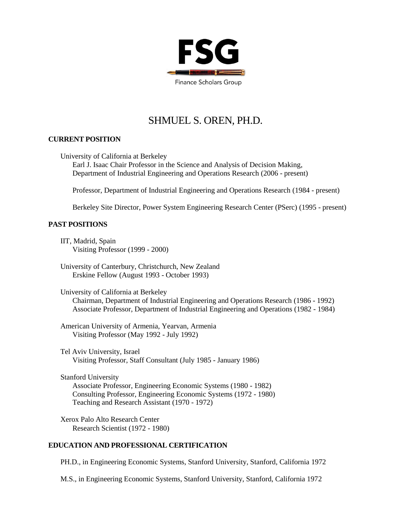

# SHMUEL S. OREN, PH.D.

# **CURRENT POSITION**

University of California at Berkeley

Earl J. Isaac Chair Professor in the Science and Analysis of Decision Making, Department of Industrial Engineering and Operations Research (2006 - present)

Professor, Department of Industrial Engineering and Operations Research (1984 - present)

Berkeley Site Director, Power System Engineering Research Center (PSerc) (1995 - present)

# **PAST POSITIONS**

IIT, Madrid, Spain Visiting Professor (1999 - 2000)

University of Canterbury, Christchurch, New Zealand Erskine Fellow (August 1993 - October 1993)

University of California at Berkeley

Chairman, Department of Industrial Engineering and Operations Research (1986 - 1992) Associate Professor, Department of Industrial Engineering and Operations (1982 - 1984)

American University of Armenia, Yearvan, Armenia Visiting Professor (May 1992 - July 1992)

Tel Aviv University, Israel Visiting Professor, Staff Consultant (July 1985 - January 1986)

Stanford University Associate Professor, Engineering Economic Systems (1980 - 1982) Consulting Professor, Engineering Economic Systems (1972 - 1980) Teaching and Research Assistant (1970 - 1972)

Xerox Palo Alto Research Center Research Scientist (1972 - 1980)

# **EDUCATION AND PROFESSIONAL CERTIFICATION**

PH.D., in Engineering Economic Systems, Stanford University, Stanford, California 1972

M.S., in Engineering Economic Systems, Stanford University, Stanford, California 1972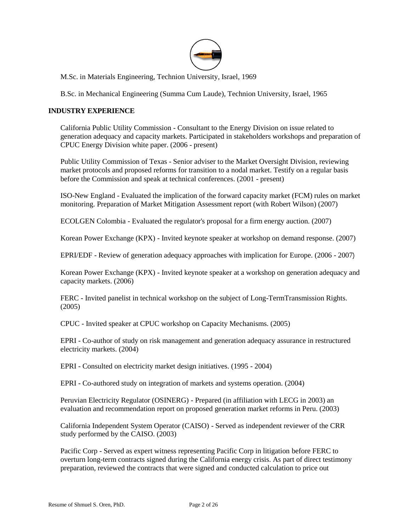

M.Sc. in Materials Engineering, Technion University, Israel, 1969

B.Sc. in Mechanical Engineering (Summa Cum Laude), Technion University, Israel, 1965

# **INDUSTRY EXPERIENCE**

California Public Utility Commission - Consultant to the Energy Division on issue related to generation adequacy and capacity markets. Participated in stakeholders workshops and preparation of CPUC Energy Division white paper. (2006 - present)

Public Utility Commission of Texas - Senior adviser to the Market Oversight Division, reviewing market protocols and proposed reforms for transition to a nodal market. Testify on a regular basis before the Commission and speak at technical conferences. (2001 - present)

ISO-New England - Evaluated the implication of the forward capacity market (FCM) rules on market monitoring. Preparation of Market Mitigation Assessment report (with Robert Wilson) (2007)

ECOLGEN Colombia - Evaluated the regulator's proposal for a firm energy auction. (2007)

Korean Power Exchange (KPX) - Invited keynote speaker at workshop on demand response. (2007)

EPRI/EDF - Review of generation adequacy approaches with implication for Europe. (2006 - 2007

Korean Power Exchange (KPX) - Invited keynote speaker at a workshop on generation adequacy and capacity markets. (2006)

FERC - Invited panelist in technical workshop on the subject of Long-TermTransmission Rights. (2005)

CPUC - Invited speaker at CPUC workshop on Capacity Mechanisms. (2005)

EPRI - Co-author of study on risk management and generation adequacy assurance in restructured electricity markets. (2004)

EPRI - Consulted on electricity market design initiatives. (1995 - 2004)

EPRI - Co-authored study on integration of markets and systems operation. (2004)

Peruvian Electricity Regulator (OSINERG) - Prepared (in affiliation with LECG in 2003) an evaluation and recommendation report on proposed generation market reforms in Peru. (2003)

California Independent System Operator (CAISO) - Served as independent reviewer of the CRR study performed by the CAISO. (2003)

Pacific Corp - Served as expert witness representing Pacific Corp in litigation before FERC to overturn long-term contracts signed during the California energy crisis. As part of direct testimony preparation, reviewed the contracts that were signed and conducted calculation to price out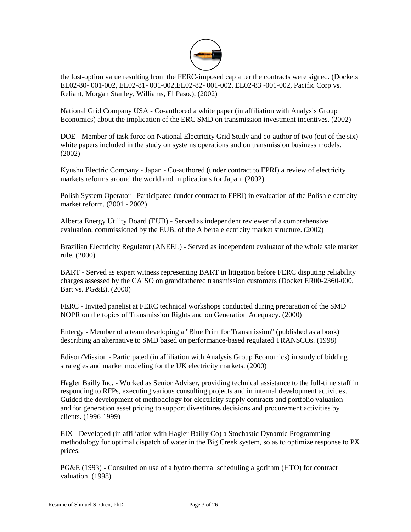

the lost-option value resulting from the FERC-imposed cap after the contracts were signed. (Dockets EL02-80- 001-002, EL02-81- 001-002,EL02-82- 001-002, EL02-83 -001-002, Pacific Corp vs. Reliant, Morgan Stanley, Williams, El Paso.), (2002)

National Grid Company USA - Co-authored a white paper (in affiliation with Analysis Group Economics) about the implication of the ERC SMD on transmission investment incentives. (2002)

DOE - Member of task force on National Electricity Grid Study and co-author of two (out of the six) white papers included in the study on systems operations and on transmission business models. (2002)

Kyushu Electric Company - Japan - Co-authored (under contract to EPRI) a review of electricity markets reforms around the world and implications for Japan. (2002)

Polish System Operator - Participated (under contract to EPRI) in evaluation of the Polish electricity market reform. (2001 - 2002)

Alberta Energy Utility Board (EUB) - Served as independent reviewer of a comprehensive evaluation, commissioned by the EUB, of the Alberta electricity market structure. (2002)

Brazilian Electricity Regulator (ANEEL) - Served as independent evaluator of the whole sale market rule. (2000)

BART - Served as expert witness representing BART in litigation before FERC disputing reliability charges assessed by the CAISO on grandfathered transmission customers (Docket ER00-2360-000, Bart vs. PG&E). (2000)

FERC - Invited panelist at FERC technical workshops conducted during preparation of the SMD NOPR on the topics of Transmission Rights and on Generation Adequacy. (2000)

Entergy - Member of a team developing a "Blue Print for Transmission" (published as a book) describing an alternative to SMD based on performance-based regulated TRANSCOs. (1998)

Edison/Mission - Participated (in affiliation with Analysis Group Economics) in study of bidding strategies and market modeling for the UK electricity markets. (2000)

Hagler Bailly Inc. - Worked as Senior Adviser, providing technical assistance to the full-time staff in responding to RFPs, executing various consulting projects and in internal development activities. Guided the development of methodology for electricity supply contracts and portfolio valuation and for generation asset pricing to support divestitures decisions and procurement activities by clients. (1996-1999)

EIX - Developed (in affiliation with Hagler Bailly Co) a Stochastic Dynamic Programming methodology for optimal dispatch of water in the Big Creek system, so as to optimize response to PX prices.

PG&E (1993) - Consulted on use of a hydro thermal scheduling algorithm (HTO) for contract valuation. (1998)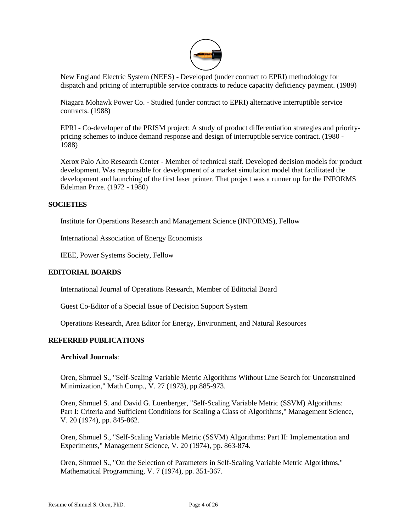

New England Electric System (NEES) - Developed (under contract to EPRI) methodology for dispatch and pricing of interruptible service contracts to reduce capacity deficiency payment. (1989)

Niagara Mohawk Power Co. - Studied (under contract to EPRI) alternative interruptible service contracts. (1988)

EPRI - Co-developer of the PRISM project: A study of product differentiation strategies and prioritypricing schemes to induce demand response and design of interruptible service contract. (1980 - 1988)

Xerox Palo Alto Research Center - Member of technical staff. Developed decision models for product development. Was responsible for development of a market simulation model that facilitated the development and launching of the first laser printer. That project was a runner up for the INFORMS Edelman Prize. (1972 - 1980)

#### **SOCIETIES**

Institute for Operations Research and Management Science (INFORMS), Fellow

International Association of Energy Economists

IEEE, Power Systems Society, Fellow

#### **EDITORIAL BOARDS**

International Journal of Operations Research, Member of Editorial Board

Guest Co-Editor of a Special Issue of Decision Support System

Operations Research, Area Editor for Energy, Environment, and Natural Resources

#### **REFERRED PUBLICATIONS**

#### **Archival Journals**:

Oren, Shmuel S., "Self-Scaling Variable Metric Algorithms Without Line Search for Unconstrained Minimization," Math Comp., V. 27 (1973), pp.885-973.

Oren, Shmuel S. and David G. Luenberger, "Self-Scaling Variable Metric (SSVM) Algorithms: Part I: Criteria and Sufficient Conditions for Scaling a Class of Algorithms," Management Science, V. 20 (1974), pp. 845-862.

Oren, Shmuel S., "Self-Scaling Variable Metric (SSVM) Algorithms: Part II: Implementation and Experiments," Management Science, V. 20 (1974), pp. 863-874.

Oren, Shmuel S., "On the Selection of Parameters in Self-Scaling Variable Metric Algorithms," Mathematical Programming, V. 7 (1974), pp. 351-367.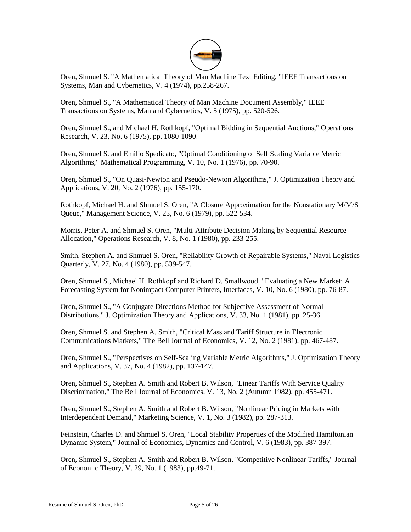

Oren, Shmuel S. "A Mathematical Theory of Man Machine Text Editing, "IEEE Transactions on Systems, Man and Cybernetics, V. 4 (1974), pp.258-267.

Oren, Shmuel S., "A Mathematical Theory of Man Machine Document Assembly," IEEE Transactions on Systems, Man and Cybernetics, V. 5 (1975), pp. 520-526.

Oren, Shmuel S., and Michael H. Rothkopf, "Optimal Bidding in Sequential Auctions," Operations Research, V. 23, No. 6 (1975), pp. 1080-1090

Oren, Shmuel S. and Emilio Spedicato, "Optimal Conditioning of Self Scaling Variable Metric Algorithms," Mathematical Programming, V. 10, No. 1 (1976), pp. 70-90.

Oren, Shmuel S., "On Quasi-Newton and Pseudo-Newton Algorithms," J. Optimization Theory and Applications, V. 20, No. 2 (1976), pp. 155-170.

Rothkopf, Michael H. and Shmuel S. Oren, "A Closure Approximation for the Nonstationary M/M/S Queue," Management Science, V. 25, No. 6 (1979), pp. 522-534.

Morris, Peter A. and Shmuel S. Oren, "Multi-Attribute Decision Making by Sequential Resource Allocation," Operations Research, V. 8, No. 1 (1980), pp. 233-255.

Smith, Stephen A. and Shmuel S. Oren, "Reliability Growth of Repairable Systems," Naval Logistics Quarterly, V. 27, No. 4 (1980), pp. 539-547.

Oren, Shmuel S., Michael H. Rothkopf and Richard D. Smallwood, "Evaluating a New Market: A Forecasting System for Nonimpact Computer Printers, Interfaces, V. 10, No. 6 (1980), pp. 76-87.

Oren, Shmuel S., "A Conjugate Directions Method for Subjective Assessment of Normal Distributions," J. Optimization Theory and Applications, V. 33, No. 1 (1981), pp. 25-36.

Oren, Shmuel S. and Stephen A. Smith, "Critical Mass and Tariff Structure in Electronic Communications Markets," The Bell Journal of Economics, V. 12, No. 2 (1981), pp. 467-487.

Oren, Shmuel S., "Perspectives on Self-Scaling Variable Metric Algorithms," J. Optimization Theory and Applications, V. 37, No. 4 (1982), pp. 137-147.

Oren, Shmuel S., Stephen A. Smith and Robert B. Wilson, "Linear Tariffs With Service Quality Discrimination," The Bell Journal of Economics, V. 13, No. 2 (Autumn 1982), pp. 455-471.

Oren, Shmuel S., Stephen A. Smith and Robert B. Wilson, "Nonlinear Pricing in Markets with Interdependent Demand," Marketing Science, V. 1, No. 3 (1982), pp. 287-313.

Feinstein, Charles D. and Shmuel S. Oren, "Local Stability Properties of the Modified Hamiltonian Dynamic System," Journal of Economics, Dynamics and Control, V. 6 (1983), pp. 387-397.

Oren, Shmuel S., Stephen A. Smith and Robert B. Wilson, "Competitive Nonlinear Tariffs," Journal of Economic Theory, V. 29, No. 1 (1983), pp.49-71.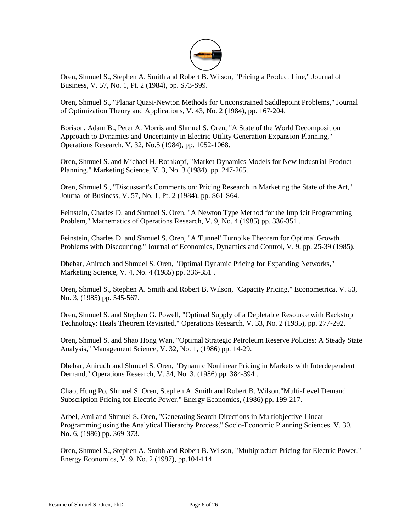

Oren, Shmuel S., Stephen A. Smith and Robert B. Wilson, "Pricing a Product Line," Journal of Business, V. 57, No. 1, Pt. 2 (1984), pp. S73-S99.

Oren, Shmuel S., "Planar Quasi-Newton Methods for Unconstrained Saddlepoint Problems," Journal of Optimization Theory and Applications, V. 43, No. 2 (1984), pp. 167-204.

Borison, Adam B., Peter A. Morris and Shmuel S. Oren, "A State of the World Decomposition Approach to Dynamics and Uncertainty in Electric Utility Generation Expansion Planning," Operations Research, V. 32, No.5 (1984), pp. 1052-1068.

Oren, Shmuel S. and Michael H. Rothkopf, "Market Dynamics Models for New Industrial Product Planning," Marketing Science, V. 3, No. 3 (1984), pp. 247-265.

Oren, Shmuel S., "Discussant's Comments on: Pricing Research in Marketing the State of the Art," Journal of Business, V. 57, No. 1, Pt. 2 (1984), pp. S61-S64.

Feinstein, Charles D. and Shmuel S. Oren, "A Newton Type Method for the Implicit Programming Problem," Mathematics of Operations Research, V. 9, No. 4 (1985) pp. 336-351 .

Feinstein, Charles D. and Shmuel S. Oren, "A 'Funnel' Turnpike Theorem for Optimal Growth Problems with Discounting," Journal of Economics, Dynamics and Control, V. 9, pp. 25-39 (1985).

Dhebar, Anirudh and Shmuel S. Oren, "Optimal Dynamic Pricing for Expanding Networks," Marketing Science, V. 4, No. 4 (1985) pp. 336-351 .

Oren, Shmuel S., Stephen A. Smith and Robert B. Wilson, "Capacity Pricing," Econometrica, V. 53, No. 3, (1985) pp. 545-567.

Oren, Shmuel S. and Stephen G. Powell, "Optimal Supply of a Depletable Resource with Backstop Technology: Heals Theorem Revisited," Operations Research, V. 33, No. 2 (1985), pp. 277-292.

Oren, Shmuel S. and Shao Hong Wan, "Optimal Strategic Petroleum Reserve Policies: A Steady State Analysis," Management Science, V. 32, No. 1, (1986) pp. 14-29.

Dhebar, Anirudh and Shmuel S. Oren, "Dynamic Nonlinear Pricing in Markets with Interdependent Demand," Operations Research, V. 34, No. 3, (1986) pp. 384-394 .

Chao, Hung Po, Shmuel S. Oren, Stephen A. Smith and Robert B. Wilson,"Multi-Level Demand Subscription Pricing for Electric Power," Energy Economics, (1986) pp. 199-217.

Arbel, Ami and Shmuel S. Oren, "Generating Search Directions in Multiobjective Linear Programming using the Analytical Hierarchy Process," Socio-Economic Planning Sciences, V. 30, No. 6, (1986) pp. 369-373.

Oren, Shmuel S., Stephen A. Smith and Robert B. Wilson, "Multiproduct Pricing for Electric Power," Energy Economics, V. 9, No. 2 (1987), pp.104-114.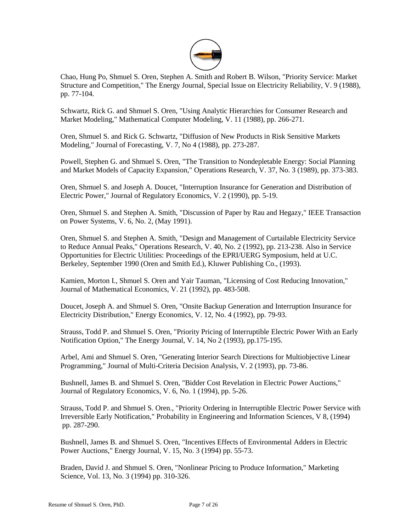

Chao, Hung Po, Shmuel S. Oren, Stephen A. Smith and Robert B. Wilson, "Priority Service: Market Structure and Competition," The Energy Journal, Special Issue on Electricity Reliability, V. 9 (1988), pp. 77-104.

Schwartz, Rick G. and Shmuel S. Oren, "Using Analytic Hierarchies for Consumer Research and Market Modeling," Mathematical Computer Modeling, V. 11 (1988), pp. 266-271.

Oren, Shmuel S. and Rick G. Schwartz, "Diffusion of New Products in Risk Sensitive Markets Modeling," Journal of Forecasting, V. 7, No 4 (1988), pp. 273-287.

Powell, Stephen G. and Shmuel S. Oren, "The Transition to Nondepletable Energy: Social Planning and Market Models of Capacity Expansion," Operations Research, V. 37, No. 3 (1989), pp. 373-383.

Oren, Shmuel S. and Joseph A. Doucet, "Interruption Insurance for Generation and Distribution of Electric Power," Journal of Regulatory Economics, V. 2 (1990), pp. 5-19.

Oren, Shmuel S. and Stephen A. Smith, "Discussion of Paper by Rau and Hegazy," IEEE Transaction on Power Systems, V. 6, No. 2, (May 1991).

Oren, Shmuel S. and Stephen A. Smith, "Design and Management of Curtailable Electricity Service to Reduce Annual Peaks," Operations Research, V. 40, No. 2 (1992), pp. 213-238. Also in Service Opportunities for Electric Utilities: Proceedings of the EPRI/UERG Symposium, held at U.C. Berkeley, September 1990 (Oren and Smith Ed.), Kluwer Publishing Co., (1993).

Kamien, Morton I., Shmuel S. Oren and Yair Tauman, "Licensing of Cost Reducing Innovation," Journal of Mathematical Economics, V. 21 (1992), pp. 483-508.

Doucet, Joseph A. and Shmuel S. Oren, "Onsite Backup Generation and Interruption Insurance for Electricity Distribution," Energy Economics, V. 12, No. 4 (1992), pp. 79-93.

Strauss, Todd P. and Shmuel S. Oren, "Priority Pricing of Interruptible Electric Power With an Early Notification Option," The Energy Journal, V. 14, No 2 (1993), pp.175-195.

Arbel, Ami and Shmuel S. Oren, "Generating Interior Search Directions for Multiobjective Linear Programming," Journal of Multi-Criteria Decision Analysis, V. 2 (1993), pp. 73-86.

Bushnell, James B. and Shmuel S. Oren, "Bidder Cost Revelation in Electric Power Auctions," Journal of Regulatory Economics, V. 6, No. 1 (1994), pp. 5-26.

Strauss, Todd P. and Shmuel S. Oren., "Priority Ordering in Interruptible Electric Power Service with Irreversible Early Notification," Probability in Engineering and Information Sciences, V 8, (1994) pp. 287-290.

Bushnell, James B. and Shmuel S. Oren, "Incentives Effects of Environmental Adders in Electric Power Auctions," Energy Journal, V. 15, No. 3 (1994) pp. 55-73.

Braden, David J. and Shmuel S. Oren, "Nonlinear Pricing to Produce Information," Marketing Science, Vol. 13, No. 3 (1994) pp. 310-326.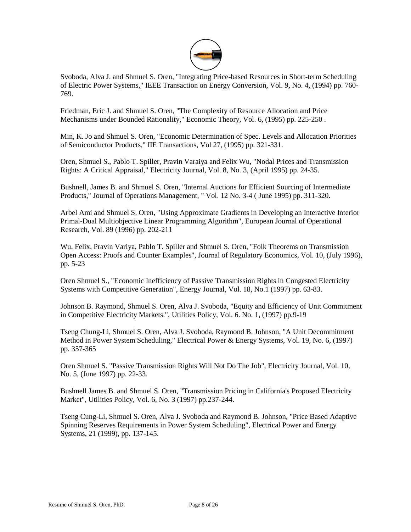

Svoboda, Alva J. and Shmuel S. Oren, "Integrating Price-based Resources in Short-term Scheduling of Electric Power Systems," IEEE Transaction on Energy Conversion, Vol. 9, No. 4, (1994) pp. 760- 769.

Friedman, Eric J. and Shmuel S. Oren, "The Complexity of Resource Allocation and Price Mechanisms under Bounded Rationality," Economic Theory, Vol. 6, (1995) pp. 225-250 .

Min, K. Jo and Shmuel S. Oren, "Economic Determination of Spec. Levels and Allocation Priorities of Semiconductor Products," IIE Transactions, Vol 27, (1995) pp. 321-331.

Oren, Shmuel S., Pablo T. Spiller, Pravin Varaiya and Felix Wu, "Nodal Prices and Transmission Rights: A Critical Appraisal," Electricity Journal, Vol. 8, No. 3, (April 1995) pp. 24-35.

Bushnell, James B. and Shmuel S. Oren, "Internal Auctions for Efficient Sourcing of Intermediate Products," Journal of Operations Management, " Vol. 12 No. 3-4 ( June 1995) pp. 311-320.

Arbel Ami and Shmuel S. Oren, "Using Approximate Gradients in Developing an Interactive Interior Primal-Dual Multiobjective Linear Programming Algorithm", European Journal of Operational Research, Vol. 89 (1996) pp. 202-211

Wu, Felix, Pravin Variya, Pablo T. Spiller and Shmuel S. Oren, "Folk Theorems on Transmission Open Access: Proofs and Counter Examples", Journal of Regulatory Economics, Vol. 10, (July 1996), pp. 5-23

Oren Shmuel S., "Economic Inefficiency of Passive Transmission Rights in Congested Electricity Systems with Competitive Generation", Energy Journal, Vol. 18, No.1 (1997) pp. 63-83.

Johnson B. Raymond, Shmuel S. Oren, Alva J. Svoboda, "Equity and Efficiency of Unit Commitment in Competitive Electricity Markets.", Utilities Policy, Vol. 6. No. 1, (1997) pp.9-19

Tseng Chung-Li, Shmuel S. Oren, Alva J. Svoboda, Raymond B. Johnson, "A Unit Decommitment Method in Power System Scheduling," Electrical Power & Energy Systems, Vol. 19, No. 6, (1997) pp. 357-365

Oren Shmuel S. "Passive Transmission Rights Will Not Do The Job", Electricity Journal, Vol. 10, No. 5, (June 1997) pp. 22-33.

Bushnell James B. and Shmuel S. Oren, "Transmission Pricing in California's Proposed Electricity Market", Utilities Policy, Vol. 6, No. 3 (1997) pp.237-244.

Tseng Cung-Li, Shmuel S. Oren, Alva J. Svoboda and Raymond B. Johnson, "Price Based Adaptive Spinning Reserves Requirements in Power System Scheduling", Electrical Power and Energy Systems, 21 (1999), pp. 137-145.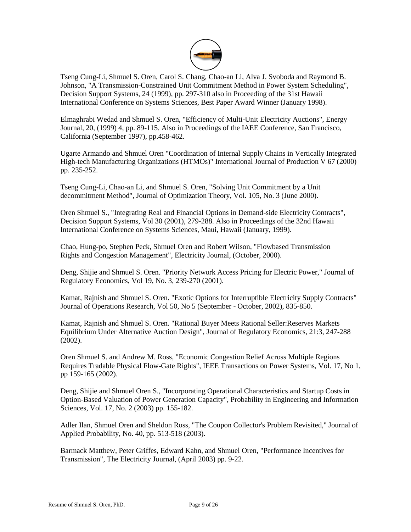

Tseng Cung-Li, Shmuel S. Oren, Carol S. Chang, Chao-an Li, Alva J. Svoboda and Raymond B. Johnson, "A Transmission-Constrained Unit Commitment Method in Power System Scheduling", Decision Support Systems, 24 (1999), pp. 297-310 also in Proceeding of the 31st Hawaii International Conference on Systems Sciences, Best Paper Award Winner (January 1998).

Elmaghrabi Wedad and Shmuel S. Oren, "Efficiency of Multi-Unit Electricity Auctions", Energy Journal, 20, (1999) 4, pp. 89-115. Also in Proceedings of the IAEE Conference, San Francisco, California (September 1997), pp.458-462.

Ugarte Armando and Shmuel Oren "Coordination of Internal Supply Chains in Vertically Integrated High-tech Manufacturing Organizations (HTMOs)" International Journal of Production V 67 (2000) pp. 235-252.

Tseng Cung-Li, Chao-an Li, and Shmuel S. Oren, "Solving Unit Commitment by a Unit decommitment Method", Journal of Optimization Theory, Vol. 105, No. 3 (June 2000).

Oren Shmuel S., "Integrating Real and Financial Options in Demand-side Electricity Contracts", Decision Support Systems, Vol 30 (2001), 279-288. Also in Proceedings of the 32nd Hawaii International Conference on Systems Sciences, Maui, Hawaii (January, 1999).

Chao, Hung-po, Stephen Peck, Shmuel Oren and Robert Wilson, "Flowbased Transmission Rights and Congestion Management", Electricity Journal, (October, 2000).

Deng, Shijie and Shmuel S. Oren. "Priority Network Access Pricing for Electric Power," Journal of Regulatory Economics, Vol 19, No. 3, 239-270 (2001).

Kamat, Rajnish and Shmuel S. Oren. "Exotic Options for Interruptible Electricity Supply Contracts" Journal of Operations Research, Vol 50, No 5 (September - October, 2002), 835-850.

Kamat, Rajnish and Shmuel S. Oren. "Rational Buyer Meets Rational Seller:Reserves Markets Equilibrium Under Alternative Auction Design", Journal of Regulatory Economics, 21:3, 247-288 (2002).

Oren Shmuel S. and Andrew M. Ross, "Economic Congestion Relief Across Multiple Regions Requires Tradable Physical Flow-Gate Rights", IEEE Transactions on Power Systems, Vol. 17, No 1, pp 159-165 (2002).

Deng, Shijie and Shmuel Oren S., "Incorporating Operational Characteristics and Startup Costs in Option-Based Valuation of Power Generation Capacity", Probability in Engineering and Information Sciences, Vol. 17, No. 2 (2003) pp. 155-182.

Adler Ilan, Shmuel Oren and Sheldon Ross, "The Coupon Collector's Problem Revisited," Journal of Applied Probability, No. 40, pp. 513-518 (2003).

Barmack Matthew, Peter Griffes, Edward Kahn, and Shmuel Oren, "Performance Incentives for Transmission", The Electricity Journal, (April 2003) pp. 9-22.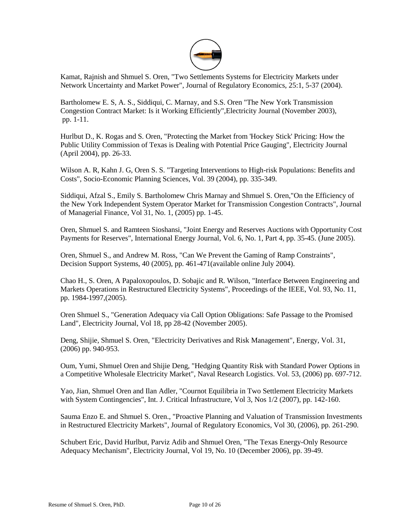

Kamat, Rajnish and Shmuel S. Oren, "Two Settlements Systems for Electricity Markets under Network Uncertainty and Market Power", Journal of Regulatory Economics, 25:1, 5-37 (2004).

Bartholomew E. S, A. S., Siddiqui, C. Marnay, and S.S. Oren "The New York Transmission Congestion Contract Market: Is it Working Efficiently",Electricity Journal (November 2003), pp. 1-11.

Hurlbut D., K. Rogas and S. Oren, "Protecting the Market from 'Hockey Stick' Pricing: How the Public Utility Commission of Texas is Dealing with Potential Price Gauging", Electricity Journal (April 2004), pp. 26-33.

Wilson A. R, Kahn J. G, Oren S. S. "Targeting Interventions to High-risk Populations: Benefits and Costs", Socio-Economic Planning Sciences, Vol. 39 (2004), pp. 335-349.

Siddiqui, Afzal S., Emily S. Bartholomew Chris Marnay and Shmuel S. Oren,"On the Efficiency of the New York Independent System Operator Market for Transmission Congestion Contracts", Journal of Managerial Finance, Vol 31, No. 1, (2005) pp. 1-45.

Oren, Shmuel S. and Ramteen Sioshansi, "Joint Energy and Reserves Auctions with Opportunity Cost Payments for Reserves", International Energy Journal, Vol. 6, No. 1, Part 4, pp. 35-45. (June 2005).

Oren, Shmuel S., and Andrew M. Ross, "Can We Prevent the Gaming of Ramp Constraints", Decision Support Systems, 40 (2005), pp. 461-471(available online July 2004).

Chao H., S. Oren, A Papaloxopoulos, D. Sobajic and R. Wilson, "Interface Between Engineering and Markets Operations in Restructured Electricity Systems", Proceedings of the IEEE, Vol. 93, No. 11, pp. 1984-1997,(2005).

Oren Shmuel S., "Generation Adequacy via Call Option Obligations: Safe Passage to the Promised Land", Electricity Journal, Vol 18, pp 28-42 (November 2005).

Deng, Shijie, Shmuel S. Oren, "Electricity Derivatives and Risk Management", Energy, Vol. 31, (2006) pp. 940-953.

Oum, Yumi, Shmuel Oren and Shijie Deng, "Hedging Quantity Risk with Standard Power Options in a Competitive Wholesale Electricity Market", Naval Research Logistics. Vol. 53, (2006) pp. 697-712.

Yao, Jian, Shmuel Oren and Ilan Adler, "Cournot Equilibria in Two Settlement Electricity Markets with System Contingencies", Int. J. Critical Infrastructure, Vol 3, Nos 1/2 (2007), pp. 142-160.

Sauma Enzo E. and Shmuel S. Oren., "Proactive Planning and Valuation of Transmission Investments in Restructured Electricity Markets", Journal of Regulatory Economics, Vol 30, (2006), pp. 261-290.

Schubert Eric, David Hurlbut, Parviz Adib and Shmuel Oren, "The Texas Energy-Only Resource Adequacy Mechanism", Electricity Journal, Vol 19, No. 10 (December 2006), pp. 39-49.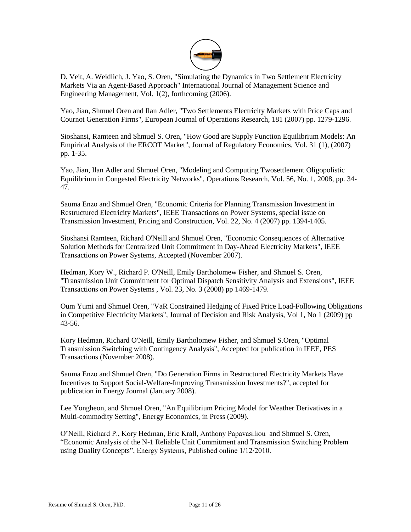

D. Veit, A. Weidlich, J. Yao, S. Oren, "Simulating the Dynamics in Two Settlement Electricity Markets Via an Agent-Based Approach" International Journal of Management Science and Engineering Management, Vol. 1(2), forthcoming (2006).

Yao, Jian, Shmuel Oren and Ilan Adler, "Two Settlements Electricity Markets with Price Caps and Cournot Generation Firms", European Journal of Operations Research, 181 (2007) pp. 1279-1296.

Sioshansi, Ramteen and Shmuel S. Oren, "How Good are Supply Function Equilibrium Models: An Empirical Analysis of the ERCOT Market", Journal of Regulatory Economics, Vol. 31 (1), (2007) pp. 1-35.

Yao, Jian, Ilan Adler and Shmuel Oren, "Modeling and Computing Twosettlement Oligopolistic Equilibrium in Congested Electricity Networks", Operations Research, Vol. 56, No. 1, 2008, pp. 34- 47.

Sauma Enzo and Shmuel Oren, "Economic Criteria for Planning Transmission Investment in Restructured Electricity Markets", IEEE Transactions on Power Systems, special issue on Transmission Investment, Pricing and Construction, Vol. 22, No. 4 (2007) pp. 1394-1405.

Sioshansi Ramteen, Richard O'Neill and Shmuel Oren, "Economic Consequences of Alternative Solution Methods for Centralized Unit Commitment in Day-Ahead Electricity Markets", IEEE Transactions on Power Systems, Accepted (November 2007).

Hedman, Kory W., Richard P. O'Neill, Emily Bartholomew Fisher, and Shmuel S. Oren, "Transmission Unit Commitment for Optimal Dispatch Sensitivity Analysis and Extensions", IEEE Transactions on Power Systems , Vol. 23, No. 3 (2008) pp 1469-1479.

Oum Yumi and Shmuel Oren, "VaR Constrained Hedging of Fixed Price Load-Following Obligations in Competitive Electricity Markets", Journal of Decision and Risk Analysis, Vol 1, No 1 (2009) pp 43-56.

Kory Hedman, Richard O'Neill, Emily Bartholomew Fisher, and Shmuel S.Oren, "Optimal Transmission Switching with Contingency Analysis", Accepted for publication in IEEE, PES Transactions (November 2008).

Sauma Enzo and Shmuel Oren, "Do Generation Firms in Restructured Electricity Markets Have Incentives to Support Social-Welfare-Improving Transmission Investments?", accepted for publication in Energy Journal (January 2008).

Lee Yongheon, and Shmuel Oren, "An Equilibrium Pricing Model for Weather Derivatives in a Multi-commodity Setting", Energy Economics, in Press (2009).

O'Neill, Richard P., Kory Hedman, Eric Krall, Anthony Papavasiliou and Shmuel S. Oren, ["Economic Analysis of the N-1 Reliable Unit Commitment and Transmission Switching Problem](http://www.ieor.berkeley.edu/~oren/pubs/Economic_Analysis_N1_2009.pdf)  [using Duality Concepts"](http://www.ieor.berkeley.edu/~oren/pubs/Economic_Analysis_N1_2009.pdf), Energy Systems, Published online 1/12/2010.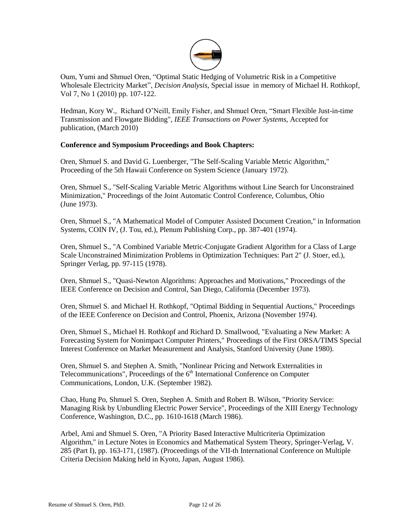

Oum, Yumi and Shmuel Oren, ["Optimal Static Hedging of Volumetric Risk in a Competitive](http://www.ieor.berkeley.edu/~oren/pubs/Oum_Decision_Analysis032010.pdf)  [Wholesale Electricity Market"](http://www.ieor.berkeley.edu/~oren/pubs/Oum_Decision_Analysis032010.pdf), *Decision Analysis,* Special issue in memory of Michael H. Rothkopf, Vol 7, No 1 (2010) pp. 107-122.

Hedman, Kory W., Richard O'Neill, Emily Fisher, and Shmuel Oren, ["Smart Flexible Just-in-time](http://www.ieor.berkeley.edu/~oren/pubs/Hedman_ISO_20100312.pdf)  [Transmission and Flowgate Bidding"](http://www.ieor.berkeley.edu/~oren/pubs/Hedman_ISO_20100312.pdf), *IEEE Transactions on Power Systems,* Accepted for publication, (March 2010)

## **Conference and Symposium Proceedings and Book Chapters:**

Oren, Shmuel S. and David G. Luenberger, "The Self-Scaling Variable Metric Algorithm," Proceeding of the 5th Hawaii Conference on System Science (January 1972).

Oren, Shmuel S., "Self-Scaling Variable Metric Algorithms without Line Search for Unconstrained Minimization," Proceedings of the Joint Automatic Control Conference, Columbus, Ohio (June 1973).

Oren, Shmuel S., "A Mathematical Model of Computer Assisted Document Creation," in Information Systems, COIN IV, (J. Tou, ed.), Plenum Publishing Corp., pp. 387-401 (1974).

Oren, Shmuel S., "A Combined Variable Metric-Conjugate Gradient Algorithm for a Class of Large Scale Unconstrained Minimization Problems in Optimization Techniques: Part 2" (J. Stoer, ed.), Springer Verlag, pp. 97-115 (1978).

Oren, Shmuel S., "Quasi-Newton Algorithms: Approaches and Motivations," Proceedings of the IEEE Conference on Decision and Control, San Diego, California (December 1973).

Oren, Shmuel S. and Michael H. Rothkopf, "Optimal Bidding in Sequential Auctions," Proceedings of the IEEE Conference on Decision and Control, Phoenix, Arizona (November 1974).

Oren, Shmuel S., Michael H. Rothkopf and Richard D. Smallwood, "Evaluating a New Market: A Forecasting System for Nonimpact Computer Printers," Proceedings of the First ORSA/TIMS Special Interest Conference on Market Measurement and Analysis, Stanford University (June 1980).

Oren, Shmuel S. and Stephen A. Smith, "Nonlinear Pricing and Network Externalities in Telecommunications", Proceedings of the  $6<sup>th</sup>$  International Conference on Computer Communications, London, U.K. (September 1982).

Chao, Hung Po, Shmuel S. Oren, Stephen A. Smith and Robert B. Wilson, "Priority Service: Managing Risk by Unbundling Electric Power Service", Proceedings of the XIII Energy Technology Conference, Washington, D.C., pp. 1610-1618 (March 1986).

Arbel, Ami and Shmuel S. Oren, "A Priority Based Interactive Multicriteria Optimization Algorithm," in Lecture Notes in Economics and Mathematical System Theory, Springer-Verlag, V. 285 (Part I), pp. 163-171, (1987). (Proceedings of the VII-th International Conference on Multiple Criteria Decision Making held in Kyoto, Japan, August 1986).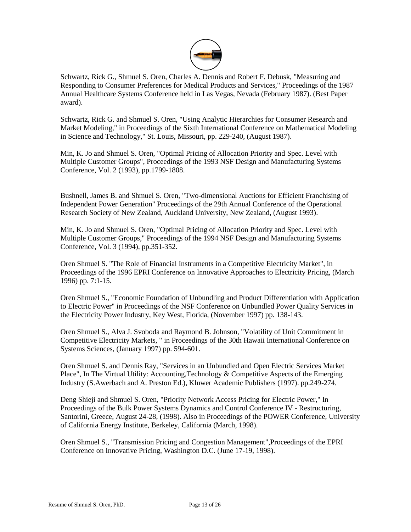

Schwartz, Rick G., Shmuel S. Oren, Charles A. Dennis and Robert F. Debusk, "Measuring and Responding to Consumer Preferences for Medical Products and Services," Proceedings of the 1987 Annual Healthcare Systems Conference held in Las Vegas, Nevada (February 1987). (Best Paper award).

Schwartz, Rick G. and Shmuel S. Oren, "Using Analytic Hierarchies for Consumer Research and Market Modeling," in Proceedings of the Sixth International Conference on Mathematical Modeling in Science and Technology," St. Louis, Missouri, pp. 229-240, (August 1987).

Min, K. Jo and Shmuel S. Oren, "Optimal Pricing of Allocation Priority and Spec. Level with Multiple Customer Groups", Proceedings of the 1993 NSF Design and Manufacturing Systems Conference, Vol. 2 (1993), pp.1799-1808.

Bushnell, James B. and Shmuel S. Oren, "Two-dimensional Auctions for Efficient Franchising of Independent Power Generation" Proceedings of the 29th Annual Conference of the Operational Research Society of New Zealand, Auckland University, New Zealand, (August 1993).

Min, K. Jo and Shmuel S. Oren, "Optimal Pricing of Allocation Priority and Spec. Level with Multiple Customer Groups," Proceedings of the 1994 NSF Design and Manufacturing Systems Conference, Vol. 3 (1994), pp.351-352.

Oren Shmuel S. "The Role of Financial Instruments in a Competitive Electricity Market", in Proceedings of the 1996 EPRI Conference on Innovative Approaches to Electricity Pricing, (March 1996) pp. 7:1-15.

Oren Shmuel S., "Economic Foundation of Unbundling and Product Differentiation with Application to Electric Power" in Proceedings of the NSF Conference on Unbundled Power Quality Services in the Electricity Power Industry, Key West, Florida, (November 1997) pp. 138-143.

Oren Shmuel S., Alva J. Svoboda and Raymond B. Johnson, "Volatility of Unit Commitment in Competitive Electricity Markets, " in Proceedings of the 30th Hawaii International Conference on Systems Sciences, (January 1997) pp. 594-601.

Oren Shmuel S. and Dennis Ray, "Services in an Unbundled and Open Electric Services Market Place", In The Virtual Utility: Accounting, Technology & Competitive Aspects of the Emerging Industry (S.Awerbach and A. Preston Ed.), Kluwer Academic Publishers (1997). pp.249-274.

Deng Shieji and Shmuel S. Oren, "Priority Network Access Pricing for Electric Power," In Proceedings of the Bulk Power Systems Dynamics and Control Conference IV - Restructuring, Santorini, Greece, August 24-28, (1998). Also in Proceedings of the POWER Conference, University of California Energy Institute, Berkeley, California (March, 1998).

Oren Shmuel S., "Transmission Pricing and Congestion Management",Proceedings of the EPRI Conference on Innovative Pricing, Washington D.C. (June 17-19, 1998).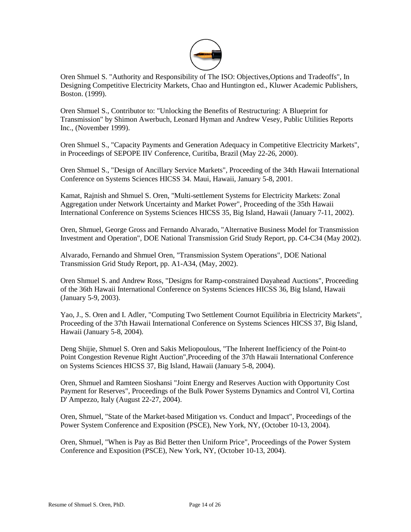

Oren Shmuel S. "Authority and Responsibility of The ISO: Objectives,Options and Tradeoffs", In Designing Competitive Electricity Markets, Chao and Huntington ed., Kluwer Academic Publishers, Boston. (1999).

Oren Shmuel S., Contributor to: "Unlocking the Benefits of Restructuring: A Blueprint for Transmission" by Shimon Awerbuch, Leonard Hyman and Andrew Vesey, Public Utilities Reports Inc., (November 1999).

Oren Shmuel S., "Capacity Payments and Generation Adequacy in Competitive Electricity Markets", in Proceedings of SEPOPE IIV Conference, Curitiba, Brazil (May 22-26, 2000).

Oren Shmuel S., "Design of Ancillary Service Markets", Proceeding of the 34th Hawaii International Conference on Systems Sciences HICSS 34. Maui, Hawaii, January 5-8, 2001.

Kamat, Rajnish and Shmuel S. Oren, "Multi-settlement Systems for Electricity Markets: Zonal Aggregation under Network Uncertainty and Market Power", Proceeding of the 35th Hawaii International Conference on Systems Sciences HICSS 35, Big Island, Hawaii (January 7-11, 2002).

Oren, Shmuel, George Gross and Fernando Alvarado, "Alternative Business Model for Transmission Investment and Operation", DOE National Transmission Grid Study Report, pp. C4-C34 (May 2002).

Alvarado, Fernando and Shmuel Oren, "Transmission System Operations", DOE National Transmission Grid Study Report, pp. A1-A34, (May, 2002).

Oren Shmuel S. and Andrew Ross, "Designs for Ramp-constrained Dayahead Auctions", Proceeding of the 36th Hawaii International Conference on Systems Sciences HICSS 36, Big Island, Hawaii (January 5-9, 2003).

Yao, J., S. Oren and I. Adler, "Computing Two Settlement Cournot Equilibria in Electricity Markets", Proceeding of the 37th Hawaii International Conference on Systems Sciences HICSS 37, Big Island, Hawaii (January 5-8, 2004).

Deng Shijie, Shmuel S. Oren and Sakis Meliopoulous, "The Inherent Inefficiency of the Point-to Point Congestion Revenue Right Auction",Proceeding of the 37th Hawaii International Conference on Systems Sciences HICSS 37, Big Island, Hawaii (January 5-8, 2004).

Oren, Shmuel and Ramteen Sioshansi "Joint Energy and Reserves Auction with Opportunity Cost Payment for Reserves", Proceedings of the Bulk Power Systems Dynamics and Control VI, Cortina D' Ampezzo, Italy (August 22-27, 2004).

Oren, Shmuel, "State of the Market-based Mitigation vs. Conduct and Impact", Proceedings of the Power System Conference and Exposition (PSCE), New York, NY, (October 10-13, 2004).

Oren, Shmuel, "When is Pay as Bid Better then Uniform Price", Proceedings of the Power System Conference and Exposition (PSCE), New York, NY, (October 10-13, 2004).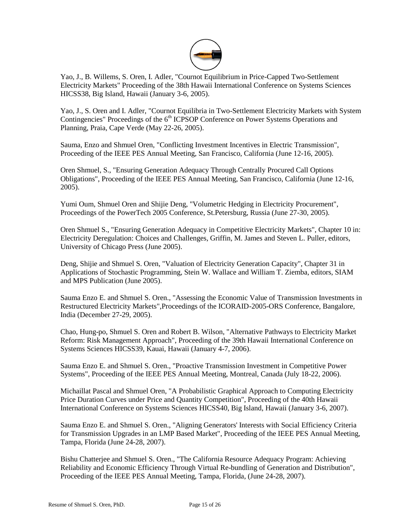

Yao, J., B. Willems, S. Oren, I. Adler, "Cournot Equilibrium in Price-Capped Two-Settlement Electricity Markets" Proceeding of the 38th Hawaii International Conference on Systems Sciences HICSS38, Big Island, Hawaii (January 3-6, 2005).

Yao, J., S. Oren and I. Adler, "Cournot Equilibria in Two-Settlement Electricity Markets with System Contingencies" Proceedings of the 6<sup>th</sup> ICPSOP Conference on Power Systems Operations and Planning, Praia, Cape Verde (May 22-26, 2005).

Sauma, Enzo and Shmuel Oren, "Conflicting Investment Incentives in Electric Transmission", Proceeding of the IEEE PES Annual Meeting, San Francisco, California (June 12-16, 2005).

Oren Shmuel, S., "Ensuring Generation Adequacy Through Centrally Procured Call Options Obligations", Proceeding of the IEEE PES Annual Meeting, San Francisco, California (June 12-16, 2005).

Yumi Oum, Shmuel Oren and Shijie Deng, "Volumetric Hedging in Electricity Procurement", Proceedings of the PowerTech 2005 Conference, St.Petersburg, Russia (June 27-30, 2005).

Oren Shmuel S., "Ensuring Generation Adequacy in Competitive Electricity Markets", Chapter 10 in: Electricity Deregulation: Choices and Challenges, Griffin, M. James and Steven L. Puller, editors, University of Chicago Press (June 2005).

Deng, Shijie and Shmuel S. Oren, "Valuation of Electricity Generation Capacity", Chapter 31 in Applications of Stochastic Programming, Stein W. Wallace and William T. Ziemba, editors, SIAM and MPS Publication (June 2005).

Sauma Enzo E. and Shmuel S. Oren., "Assessing the Economic Value of Transmission Investments in Restructured Electricity Markets",Proceedings of the ICORAID-2005-ORS Conference, Bangalore, India (December 27-29, 2005).

Chao, Hung-po, Shmuel S. Oren and Robert B. Wilson, "Alternative Pathways to Electricity Market Reform: Risk Management Approach", Proceeding of the 39th Hawaii International Conference on Systems Sciences HICSS39, Kauai, Hawaii (January 4-7, 2006).

Sauma Enzo E. and Shmuel S. Oren., "Proactive Transmission Investment in Competitive Power Systems", Proceeding of the IEEE PES Annual Meeting, Montreal, Canada (July 18-22, 2006).

Michaillat Pascal and Shmuel Oren, "A Probabilistic Graphical Approach to Computing Electricity Price Duration Curves under Price and Quantity Competition", Proceeding of the 40th Hawaii International Conference on Systems Sciences HICSS40, Big Island, Hawaii (January 3-6, 2007).

Sauma Enzo E. and Shmuel S. Oren., "Aligning Generators' Interests with Social Efficiency Criteria for Transmission Upgrades in an LMP Based Market", Proceeding of the IEEE PES Annual Meeting, Tampa, Florida (June 24-28, 2007).

Bishu Chatterjee and Shmuel S. Oren., "The California Resource Adequacy Program: Achieving Reliability and Economic Efficiency Through Virtual Re-bundling of Generation and Distribution", Proceeding of the IEEE PES Annual Meeting, Tampa, Florida, (June 24-28, 2007).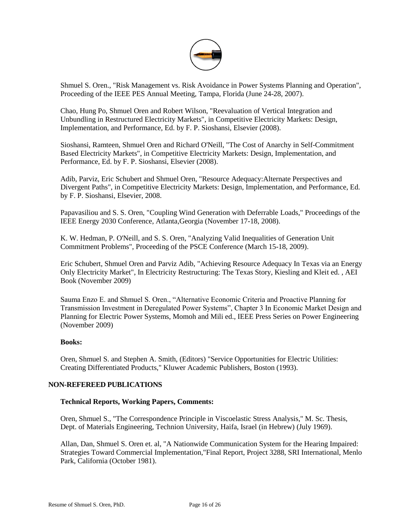

Shmuel S. Oren., "Risk Management vs. Risk Avoidance in Power Systems Planning and Operation", Proceeding of the IEEE PES Annual Meeting, Tampa, Florida (June 24-28, 2007).

Chao, Hung Po, Shmuel Oren and Robert Wilson, "Reevaluation of Vertical Integration and Unbundling in Restructured Electricity Markets", in Competitive Electricity Markets: Design, Implementation, and Performance, Ed. by F. P. Sioshansi, Elsevier (2008).

Sioshansi, Ramteen, Shmuel Oren and Richard O'Neill, "The Cost of Anarchy in Self-Commitment Based Electricity Markets", in Competitive Electricity Markets: Design, Implementation, and Performance, Ed. by F. P. Sioshansi, Elsevier (2008).

Adib, Parviz, Eric Schubert and Shmuel Oren, "Resource Adequacy:Alternate Perspectives and Divergent Paths", in Competitive Electricity Markets: Design, Implementation, and Performance, Ed. by F. P. Sioshansi, Elsevier, 2008.

Papavasiliou and S. S. Oren, "Coupling Wind Generation with Deferrable Loads," Proceedings of the IEEE Energy 2030 Conference, Atlanta,Georgia (November 17-18, 2008).

K. W. Hedman, P. O'Neill, and S. S. Oren, "Analyzing Valid Inequalities of Generation Unit Commitment Problems", Proceeding of the PSCE Conference (March 15-18, 2009).

Eric Schubert, Shmuel Oren and Parviz Adib, "Achieving Resource Adequacy In Texas via an Energy Only Electricity Market", In Electricity Restructuring: The Texas Story, Kiesling and Kleit ed. , AEI Book (November 2009)

Sauma Enzo E. and Shmuel S. Oren., "Alternative Economic Criteria and Proactive Planning for Transmission Investment in Deregulated Power Systems", Chapter 3 In Economic Market Design and Planning for Electric Power Systems, Momoh and Mili ed., IEEE Press Series on Power Engineering (November 2009)

## **Books:**

Oren, Shmuel S. and Stephen A. Smith, (Editors) "Service Opportunities for Electric Utilities: Creating Differentiated Products," Kluwer Academic Publishers, Boston (1993).

## **NON-REFEREED PUBLICATIONS**

#### **Technical Reports, Working Papers, Comments:**

Oren, Shmuel S., "The Correspondence Principle in Viscoelastic Stress Analysis," M. Sc. Thesis, Dept. of Materials Engineering, Technion University, Haifa, Israel (in Hebrew) (July 1969).

Allan, Dan, Shmuel S. Oren et. al, "A Nationwide Communication System for the Hearing Impaired: Strategies Toward Commercial Implementation,"Final Report, Project 3288, SRI International, Menlo Park, California (October 1981).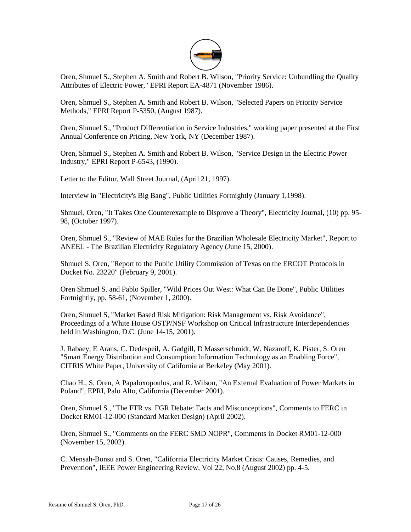

Oren, Shmuel S., Stephen A. Smith and Robert B. Wilson, "Priority Service: Unbundling the Quality Attributes of Electric Power," EPRI Report EA-4871 (November 1986).

Oren, Shmuel S., Stephen A. Smith and Robert B. Wilson, "Selected Papers on Priority Service Methods," EPRI Report P-5350, (August 1987).

Oren, Shmuel S., "Product Differentiation in Service Industries," working paper presented at the First Annual Conference on Pricing, New York, NY (December 1987).

Oren, Shmuel S., Stephen A. Smith and Robert B. Wilson, "Service Design in the Electric Power Industry," EPRI Report P-6543, (1990).

Letter to the Editor, Wall Street Journal, (April 21, 1997).

Interview in "Electricity's Big Bang", Public Utilities Fortnightly (January 1,1998).

Shmuel, Oren, "It Takes One Counterexample to Disprove a Theory", Electricity Journal, (10) pp. 95- 98, (October 1997).

Oren, Shmuel S., "Review of MAE Rules for the Brazilian Wholesale Electricity Market", Report to ANEEL - The Brazilian Electricity Regulatory Agency (June 15, 2000).

Shmuel S. Oren, "Report to the Public Utility Commission of Texas on the ERCOT Protocols in Docket No. 23220" (February 9, 2001).

Oren Shmuel S. and Pablo Spiller, "Wild Prices Out West: What Can Be Done", Public Utilities Fortnightly, pp. 58-61, (November 1, 2000).

Oren, Shmuel S, "Market Based Risk Mitigation: Risk Management vs. Risk Avoidance", Proceedings of a White House OSTP/NSF Workshop on Critical Infrastructure Interdependencies held in Washington, D.C. (June 14-15, 2001).

J. Rabaey, E Arans, C. Dedespeil, A. Gadgill, D Masserschmidt, W. Nazaroff, K. Pister, S. Oren "Smart Energy Distribution and Consumption:Information Technology as an Enabling Force", CITRIS White Paper, University of California at Berkeley (May 2001).

Chao H., S. Oren, A Papaloxopoulos, and R. Wilson, "An External Evaluation of Power Markets in Poland", EPRI, Palo Alto, California (December 2001).

Oren, Shmuel S., "The FTR vs. FGR Debate: Facts and Misconceptions", Comments to FERC in Docket RM01-12-000 (Standard Market Design) (April 2002).

Oren, Shmuel S., "Comments on the FERC SMD NOPR", Comments in Docket RM01-12-000 (November 15, 2002).

C. Mensah-Bonsu and S. Oren, "California Electricity Market Crisis: Causes, Remedies, and Prevention", IEEE Power Engineering Review, Vol 22, No.8 (August 2002) pp. 4-5.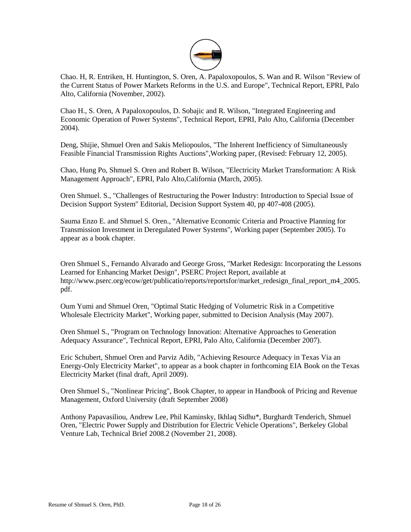

Chao. H, R. Entriken, H. Huntington, S. Oren, A. Papaloxopoulos, S. Wan and R. Wilson "Review of the Current Status of Power Markets Reforms in the U.S. and Europe", Technical Report, EPRI, Palo Alto, California (November, 2002).

Chao H., S. Oren, A Papaloxopoulos, D. Sobajic and R. Wilson, "Integrated Engineering and Economic Operation of Power Systems", Technical Report, EPRI, Palo Alto, California (December 2004).

Deng, Shijie, Shmuel Oren and Sakis Meliopoulos, "The Inherent Inefficiency of Simultaneously Feasible Financial Transmission Rights Auctions",Working paper, (Revised: February 12, 2005).

Chao, Hung Po, Shmuel S. Oren and Robert B. Wilson, "Electricity Market Transformation: A Risk Management Approach", EPRI, Palo Alto,California (March, 2005).

Oren Shmuel. S., "Challenges of Restructuring the Power Industry: Introduction to Special Issue of Decision Support System" Editorial, Decision Support System 40, pp 407-408 (2005).

Sauma Enzo E. and Shmuel S. Oren., "Alternative Economic Criteria and Proactive Planning for Transmission Investment in Deregulated Power Systems", Working paper (September 2005). To appear as a book chapter.

Oren Shmuel S., Fernando Alvarado and George Gross, "Market Redesign: Incorporating the Lessons Learned for Enhancing Market Design", PSERC Project Report, available at [http://www.pserc.org/ecow/get/publicatio/reports/reportsfor/market\\_redesign\\_final\\_report\\_m4\\_2005.](http://www.pserc.org/ecow/get/publicatio/reports/reportsfor/market_redesign_final_report_m4_2005.pdf) [pdf.](http://www.pserc.org/ecow/get/publicatio/reports/reportsfor/market_redesign_final_report_m4_2005.pdf)

Oum Yumi and Shmuel Oren, "Optimal Static Hedging of Volumetric Risk in a Competitive Wholesale Electricity Market", Working paper, submitted to Decision Analysis (May 2007).

Oren Shmuel S., "Program on Technology Innovation: Alternative Approaches to Generation Adequacy Assurance", Technical Report, EPRI, Palo Alto, California (December 2007).

Eric Schubert, Shmuel Oren and Parviz Adib, "Achieving Resource Adequacy in Texas Via an Energy-Only Electricity Market", to appear as a book chapter in forthcoming EIA Book on the Texas Electricity Market (final draft, April 2009).

Oren Shmuel S., "Nonlinear Pricing", Book Chapter, to appear in Handbook of Pricing and Revenue Management, Oxford University (draft September 2008)

Anthony Papavasiliou, Andrew Lee, Phil Kaminsky, Ikhlaq Sidhu\*, Burghardt Tenderich, Shmuel Oren, "Electric Power Supply and Distribution for Electric Vehicle Operations", Berkeley Global Venture Lab, Technical Brief 2008.2 (November 21, 2008).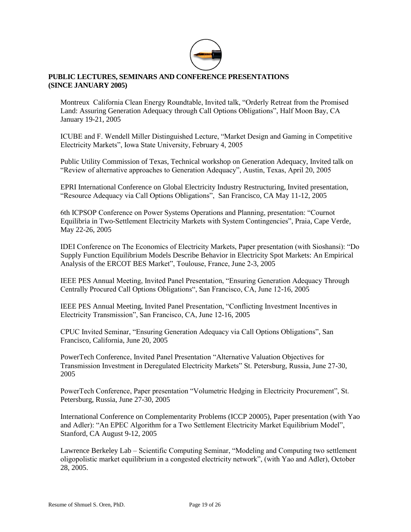

## **PUBLIC LECTURES, SEMINARS AND CONFERENCE PRESENTATIONS (SINCE JANUARY 2005)**

Montreux California Clean Energy Roundtable, Invited talk, "Orderly Retreat from the Promised Land: Assuring Generation Adequacy through Call Options Obligations", Half Moon Bay, CA January 19-21, 2005

ICUBE and F. Wendell Miller Distinguished Lecture, "Market Design and Gaming in Competitive Electricity Markets", Iowa State University, February 4, 2005

Public Utility Commission of Texas, Technical workshop on Generation Adequacy, Invited talk on "Review of alternative approaches to Generation Adequacy", Austin, Texas, April 20, 2005

EPRI International Conference on Global Electricity Industry Restructuring, Invited presentation, "Resource Adequacy via Call Options Obligations", San Francisco, CA May 11-12, 2005

6th ICPSOP Conference on Power Systems Operations and Planning, presentation: "Cournot Equilibria in Two-Settlement Electricity Markets with System Contingencies", Praia, Cape Verde, May 22-26, 2005

IDEI Conference on The Economics of Electricity Markets, Paper presentation (with Sioshansi): "Do Supply Function Equilibrium Models Describe Behavior in Electricity Spot Markets: An Empirical Analysis of the ERCOT BES Market", Toulouse, France, June 2-3, 2005

IEEE PES Annual Meeting, Invited Panel Presentation, "Ensuring Generation Adequacy Through Centrally Procured Call Options Obligations", San Francisco, CA, June 12-16, 2005

IEEE PES Annual Meeting, Invited Panel Presentation, "Conflicting Investment Incentives in Electricity Transmission", San Francisco, CA, June 12-16, 2005

CPUC Invited Seminar, "Ensuring Generation Adequacy via Call Options Obligations", San Francisco, California, June 20, 2005

PowerTech Conference, Invited Panel Presentation "Alternative Valuation Objectives for Transmission Investment in Deregulated Electricity Markets" St. Petersburg, Russia, June 27-30, 2005

PowerTech Conference, Paper presentation "Volumetric Hedging in Electricity Procurement", St. Petersburg, Russia, June 27-30, 2005

International Conference on Complementarity Problems (ICCP 20005), Paper presentation (with Yao and Adler): "An EPEC Algorithm for a Two Settlement Electricity Market Equilibrium Model", Stanford, CA August 9-12, 2005

Lawrence Berkeley Lab – Scientific Computing Seminar, "Modeling and Computing two settlement oligopolistic market equilibrium in a congested electricity network", (with Yao and Adler), October 28, 2005.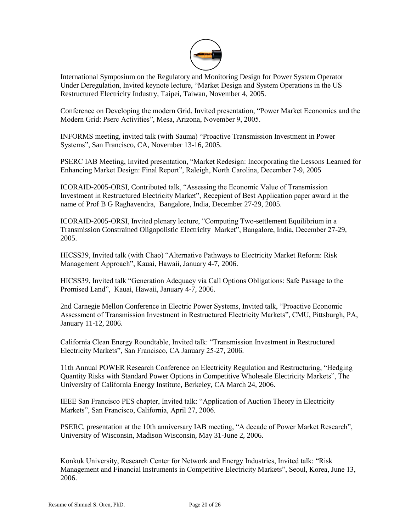

International Symposium on the Regulatory and Monitoring Design for Power System Operator Under Deregulation, Invited keynote lecture, "Market Design and System Operations in the US Restructured Electricity Industry, Taipei, Taiwan, November 4, 2005.

Conference on Developing the modern Grid, Invited presentation, "Power Market Economics and the Modern Grid: Pserc Activities", Mesa, Arizona, November 9, 2005.

INFORMS meeting, invited talk (with Sauma) "Proactive Transmission Investment in Power Systems", San Francisco, CA, November 13-16, 2005.

PSERC IAB Meeting, Invited presentation, "Market Redesign: Incorporating the Lessons Learned for Enhancing Market Design: Final Report", Raleigh, North Carolina, December 7-9, 2005

ICORAID-2005-ORSI, Contributed talk, "Assessing the Economic Value of Transmission Investment in Restructured Electricity Market", Recepient of Best Application paper award in the name of Prof B G Raghavendra, Bangalore, India, December 27-29, 2005.

ICORAID-2005-ORSI, Invited plenary lecture, "Computing Two-settlement Equilibrium in a Transmission Constrained Oligopolistic Electricity Market", Bangalore, India, December 27-29, 2005.

HICSS39, Invited talk (with Chao) "Alternative Pathways to Electricity Market Reform: Risk Management Approach", Kauai, Hawaii, January 4-7, 2006.

HICSS39, Invited talk "Generation Adequacy via Call Options Obligations: Safe Passage to the Promised Land", Kauai, Hawaii, January 4-7, 2006.

2nd Carnegie Mellon Conference in Electric Power Systems, Invited talk, "Proactive Economic Assessment of Transmission Investment in Restructured Electricity Markets", CMU, Pittsburgh, PA, January 11-12, 2006.

California Clean Energy Roundtable, Invited talk: "Transmission Investment in Restructured Electricity Markets", San Francisco, CA January 25-27, 2006.

11th Annual POWER Research Conference on Electricity Regulation and Restructuring, "Hedging Quantity Risks with Standard Power Options in Competitive Wholesale Electricity Markets", The University of California Energy Institute, Berkeley, CA March 24, 2006.

IEEE San Francisco PES chapter, Invited talk: "Application of Auction Theory in Electricity Markets", San Francisco, California, April 27, 2006.

PSERC, presentation at the 10th anniversary IAB meeting, "A decade of Power Market Research", University of Wisconsin, Madison Wisconsin, May 31-June 2, 2006.

Konkuk University, Research Center for Network and Energy Industries, Invited talk: "Risk Management and Financial Instruments in Competitive Electricity Markets", Seoul, Korea, June 13, 2006.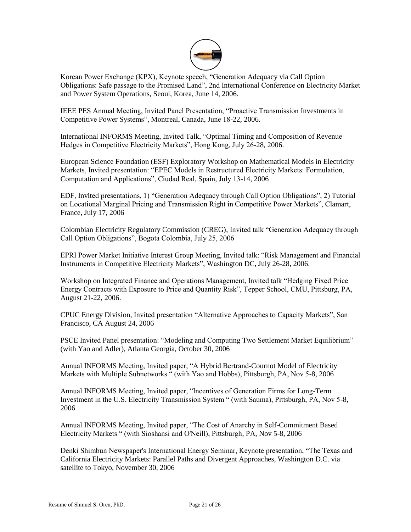

Korean Power Exchange (KPX), Keynote speech, "Generation Adequacy via Call Option Obligations: Safe passage to the Promised Land", 2nd International Conference on Electricity Market and Power System Operations, Seoul, Korea, June 14, 2006.

IEEE PES Annual Meeting, Invited Panel Presentation, "Proactive Transmission Investments in Competitive Power Systems", Montreal, Canada, June 18-22, 2006.

International INFORMS Meeting, Invited Talk, "Optimal Timing and Composition of Revenue Hedges in Competitive Electricity Markets", Hong Kong, July 26-28, 2006.

European Science Foundation (ESF) Exploratory Workshop on Mathematical Models in Electricity Markets, Invited presentation: "EPEC Models in Restructured Electricity Markets: Formulation, Computation and Applications", Ciudad Real, Spain, July 13-14, 2006

EDF, Invited presentations, 1) "Generation Adequacy through Call Option Obligations", 2) Tutorial on Locational Marginal Pricing and Transmission Right in Competitive Power Markets", Clamart, France, July 17, 2006

Colombian Electricity Regulatory Commission (CREG), Invited talk "Generation Adequacy through Call Option Obligations", Bogota Colombia, July 25, 2006

EPRI Power Market Initiative Interest Group Meeting, Invited talk: "Risk Management and Financial Instruments in Competitive Electricity Markets", Washington DC, July 26-28, 2006.

Workshop on Integrated Finance and Operations Management, Invited talk "Hedging Fixed Price Energy Contracts with Exposure to Price and Quantity Risk", Tepper School, CMU, Pittsburg, PA, August 21-22, 2006.

CPUC Energy Division, Invited presentation "Alternative Approaches to Capacity Markets", San Francisco, CA August 24, 2006

PSCE Invited Panel presentation: "Modeling and Computing Two Settlement Market Equilibrium" (with Yao and Adler), Atlanta Georgia, October 30, 2006

Annual INFORMS Meeting, Invited paper, "A Hybrid Bertrand-Cournot Model of Electricity Markets with Multiple Subnetworks " (with Yao and Hobbs), Pittsburgh, PA, Nov 5-8, 2006

Annual INFORMS Meeting, Invited paper, "Incentives of Generation Firms for Long-Term Investment in the U.S. Electricity Transmission System " (with Sauma), Pittsburgh, PA, Nov 5-8, 2006

Annual INFORMS Meeting, Invited paper, "The Cost of Anarchy in Self-Commitment Based Electricity Markets " (with Sioshansi and O'Neill), Pittsburgh, PA, Nov 5-8, 2006

Denki Shimbun Newspaper's International Energy Seminar, Keynote presentation, "The Texas and California Electricity Markets: Parallel Paths and Divergent Approaches, Washington D.C. via satellite to Tokyo, November 30, 2006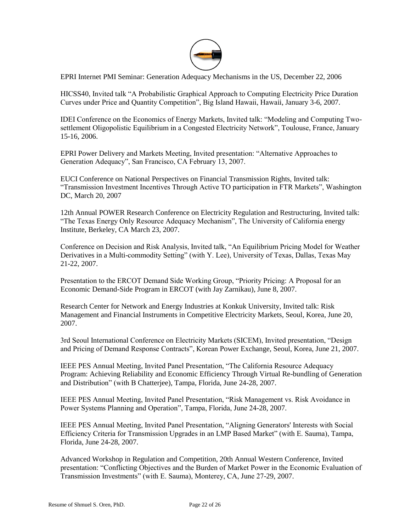

EPRI Internet PMI Seminar: Generation Adequacy Mechanisms in the US, December 22, 2006

HICSS40, Invited talk "A Probabilistic Graphical Approach to Computing Electricity Price Duration Curves under Price and Quantity Competition", Big Island Hawaii, Hawaii, January 3-6, 2007.

IDEI Conference on the Economics of Energy Markets, Invited talk: "Modeling and Computing Twosettlement Oligopolistic Equilibrium in a Congested Electricity Network", Toulouse, France, January 15-16, 2006.

EPRI Power Delivery and Markets Meeting, Invited presentation: "Alternative Approaches to Generation Adequacy", San Francisco, CA February 13, 2007.

EUCI Conference on National Perspectives on Financial Transmission Rights, Invited talk: "Transmission Investment Incentives Through Active TO participation in FTR Markets", Washington DC, March 20, 2007

12th Annual POWER Research Conference on Electricity Regulation and Restructuring, Invited talk: "The Texas Energy Only Resource Adequacy Mechanism", The University of California energy Institute, Berkeley, CA March 23, 2007.

Conference on Decision and Risk Analysis, Invited talk, "An Equilibrium Pricing Model for Weather Derivatives in a Multi-commodity Setting" (with Y. Lee), University of Texas, Dallas, Texas May 21-22, 2007.

Presentation to the ERCOT Demand Side Working Group, "Priority Pricing: A Proposal for an Economic Demand-Side Program in ERCOT (with Jay Zarnikau), June 8, 2007.

Research Center for Network and Energy Industries at Konkuk University, Invited talk: Risk Management and Financial Instruments in Competitive Electricity Markets, Seoul, Korea, June 20, 2007.

3rd Seoul International Conference on Electricity Markets (SICEM), Invited presentation, "Design and Pricing of Demand Response Contracts", Korean Power Exchange, Seoul, Korea, June 21, 2007.

IEEE PES Annual Meeting, Invited Panel Presentation, "The California Resource Adequacy Program: Achieving Reliability and Economic Efficiency Through Virtual Re-bundling of Generation and Distribution" (with B Chatterjee), Tampa, Florida, June 24-28, 2007.

IEEE PES Annual Meeting, Invited Panel Presentation, "Risk Management vs. Risk Avoidance in Power Systems Planning and Operation", Tampa, Florida, June 24-28, 2007.

IEEE PES Annual Meeting, Invited Panel Presentation, "Aligning Generators' Interests with Social Efficiency Criteria for Transmission Upgrades in an LMP Based Market" (with E. Sauma), Tampa, Florida, June 24-28, 2007.

Advanced Workshop in Regulation and Competition, 20th Annual Western Conference, Invited presentation: "Conflicting Objectives and the Burden of Market Power in the Economic Evaluation of Transmission Investments" (with E. Sauma), Monterey, CA, June 27-29, 2007.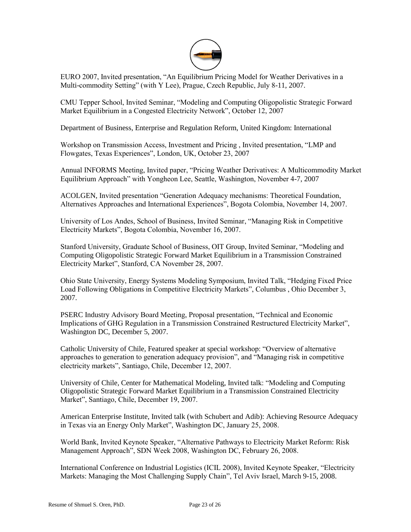

EURO 2007, Invited presentation, "An Equilibrium Pricing Model for Weather Derivatives in a Multi-commodity Setting" (with Y Lee), Prague, Czech Republic, July 8-11, 2007.

CMU Tepper School, Invited Seminar, "Modeling and Computing Oligopolistic Strategic Forward Market Equilibrium in a Congested Electricity Network", October 12, 2007

Department of Business, Enterprise and Regulation Reform, United Kingdom: International

Workshop on Transmission Access, Investment and Pricing , Invited presentation, "LMP and Flowgates, Texas Experiences", London, UK, October 23, 2007

Annual INFORMS Meeting, Invited paper, "Pricing Weather Derivatives: A Multicommodity Market Equilibrium Approach" with Yongheon Lee, Seattle, Washington, November 4-7, 2007

ACOLGEN, Invited presentation "Generation Adequacy mechanisms: Theoretical Foundation, Alternatives Approaches and International Experiences", Bogota Colombia, November 14, 2007.

University of Los Andes, School of Business, Invited Seminar, "Managing Risk in Competitive Electricity Markets", Bogota Colombia, November 16, 2007.

Stanford University, Graduate School of Business, OIT Group, Invited Seminar, "Modeling and Computing Oligopolistic Strategic Forward Market Equilibrium in a Transmission Constrained Electricity Market", Stanford, CA November 28, 2007.

Ohio State University, Energy Systems Modeling Symposium, Invited Talk, "Hedging Fixed Price Load Following Obligations in Competitive Electricity Markets", Columbus , Ohio December 3, 2007.

PSERC Industry Advisory Board Meeting, Proposal presentation, "Technical and Economic Implications of GHG Regulation in a Transmission Constrained Restructured Electricity Market", Washington DC, December 5, 2007.

Catholic University of Chile, Featured speaker at special workshop: "Overview of alternative approaches to generation to generation adequacy provision", and "Managing risk in competitive electricity markets", Santiago, Chile, December 12, 2007.

University of Chile, Center for Mathematical Modeling, Invited talk: "Modeling and Computing Oligopolistic Strategic Forward Market Equilibrium in a Transmission Constrained Electricity Market", Santiago, Chile, December 19, 2007.

American Enterprise Institute, Invited talk (with Schubert and Adib): Achieving Resource Adequacy in Texas via an Energy Only Market", Washington DC, January 25, 2008.

World Bank, Invited Keynote Speaker, "Alternative Pathways to Electricity Market Reform: Risk Management Approach", SDN Week 2008, Washington DC, February 26, 2008.

International Conference on Industrial Logistics (ICIL 2008), Invited Keynote Speaker, "Electricity Markets: Managing the Most Challenging Supply Chain", Tel Aviv Israel, March 9-15, 2008.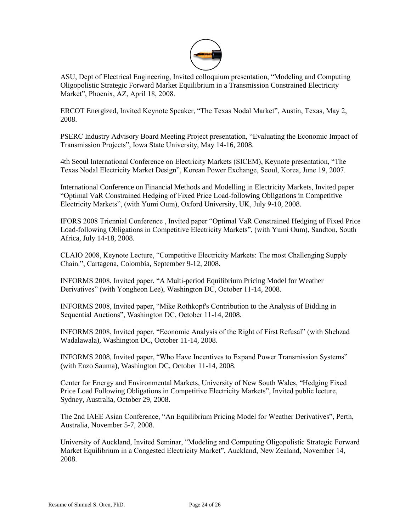

ASU, Dept of Electrical Engineering, Invited colloquium presentation, "Modeling and Computing Oligopolistic Strategic Forward Market Equilibrium in a Transmission Constrained Electricity Market", Phoenix, AZ, April 18, 2008.

ERCOT Energized, Invited Keynote Speaker, "The Texas Nodal Market", Austin, Texas, May 2, 2008.

PSERC Industry Advisory Board Meeting Project presentation, "Evaluating the Economic Impact of Transmission Projects", Iowa State University, May 14-16, 2008.

4th Seoul International Conference on Electricity Markets (SICEM), Keynote presentation, "The Texas Nodal Electricity Market Design", Korean Power Exchange, Seoul, Korea, June 19, 2007.

International Conference on Financial Methods and Modelling in Electricity Markets, Invited paper "Optimal VaR Constrained Hedging of Fixed Price Load-following Obligations in Competitive Electricity Markets", (with Yumi Oum), Oxford University, UK, July 9-10, 2008.

IFORS 2008 Triennial Conference , Invited paper "Optimal VaR Constrained Hedging of Fixed Price Load-following Obligations in Competitive Electricity Markets", (with Yumi Oum), Sandton, South Africa, July 14-18, 2008.

CLAIO 2008, Keynote Lecture, "Competitive Electricity Markets: The most Challenging Supply Chain.", Cartagena, Colombia, September 9-12, 2008.

INFORMS 2008, Invited paper, "A Multi-period Equilibrium Pricing Model for Weather Derivatives" (with Yongheon Lee), Washington DC, October 11-14, 2008.

INFORMS 2008, Invited paper, "Mike Rothkopf's Contribution to the Analysis of Bidding in Sequential Auctions", Washington DC, October 11-14, 2008.

INFORMS 2008, Invited paper, "Economic Analysis of the Right of First Refusal" (with Shehzad Wadalawala), Washington DC, October 11-14, 2008.

INFORMS 2008, Invited paper, "Who Have Incentives to Expand Power Transmission Systems" (with Enzo Sauma), Washington DC, October 11-14, 2008.

Center for Energy and Environmental Markets, University of New South Wales, "Hedging Fixed Price Load Following Obligations in Competitive Electricity Markets", Invited public lecture, Sydney, Australia, October 29, 2008.

The 2nd IAEE Asian Conference, "An Equilibrium Pricing Model for Weather Derivatives", Perth, Australia, November 5-7, 2008.

University of Auckland, Invited Seminar, "Modeling and Computing Oligopolistic Strategic Forward Market Equilibrium in a Congested Electricity Market", Auckland, New Zealand, November 14, 2008.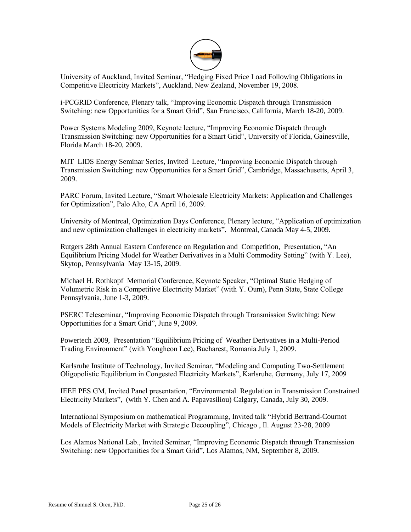

University of Auckland, Invited Seminar, "Hedging Fixed Price Load Following Obligations in Competitive Electricity Markets", Auckland, New Zealand, November 19, 2008.

i-PCGRID Conference, Plenary talk, "Improving Economic Dispatch through Transmission Switching: new Opportunities for a Smart Grid", San Francisco, California, March 18-20, 2009.

Power Systems Modeling 2009, Keynote lecture, "Improving Economic Dispatch through Transmission Switching: new Opportunities for a Smart Grid", University of Florida, Gainesville, Florida March 18-20, 2009.

MIT LIDS Energy Seminar Series, Invited Lecture, "Improving Economic Dispatch through Transmission Switching: new Opportunities for a Smart Grid", Cambridge, Massachusetts, April 3, 2009.

PARC Forum, Invited Lecture, "Smart Wholesale Electricity Markets: Application and Challenges for Optimization", Palo Alto, CA April 16, 2009.

University of Montreal, Optimization Days Conference, Plenary lecture, "Application of optimization and new optimization challenges in electricity markets", Montreal, Canada May 4-5, 2009.

Rutgers 28th Annual Eastern Conference on Regulation and Competition, Presentation, "An Equilibrium Pricing Model for Weather Derivatives in a Multi Commodity Setting" (with Y. Lee), Skytop, Pennsylvania May 13-15, 2009.

Michael H. Rothkopf Memorial Conference, Keynote Speaker, "Optimal Static Hedging of Volumetric Risk in a Competitive Electricity Market" (with Y. Oum), Penn State, State College Pennsylvania, June 1-3, 2009.

PSERC Teleseminar, "Improving Economic Dispatch through Transmission Switching: New Opportunities for a Smart Grid", June 9, 2009.

Powertech 2009, Presentation "Equilibrium Pricing of Weather Derivatives in a Multi-Period Trading Environment" (with Yongheon Lee), Bucharest, Romania July 1, 2009.

Karlsruhe Institute of Technology, Invited Seminar, "Modeling and Computing Two-Settlement Oligopolistic Equilibrium in Congested Electricity Markets", Karlsruhe, Germany, July 17, 2009

IEEE PES GM, Invited Panel presentation, "Environmental Regulation in Transmission Constrained Electricity Markets", (with Y. Chen and A. Papavasiliou) Calgary, Canada, July 30, 2009.

International Symposium on mathematical Programming, Invited talk "Hybrid Bertrand-Cournot Models of Electricity Market with Strategic Decoupling", Chicago , Il. August 23-28, 2009

Los Alamos National Lab., Invited Seminar, "Improving Economic Dispatch through Transmission Switching: new Opportunities for a Smart Grid", Los Alamos, NM, September 8, 2009.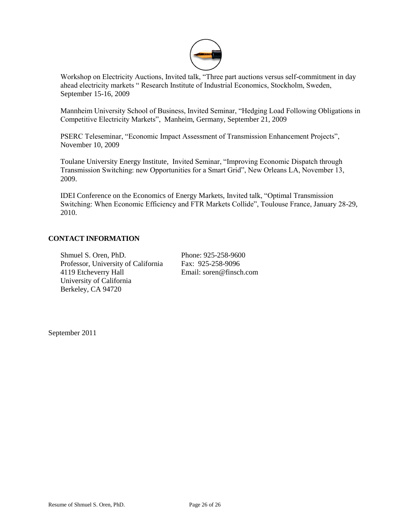

Workshop on Electricity Auctions, Invited talk, "Three part auctions versus self-commitment in day ahead electricity markets " Research Institute of Industrial Economics, Stockholm, Sweden, September 15-16, 2009

Mannheim University School of Business, Invited Seminar, "Hedging Load Following Obligations in Competitive Electricity Markets", Manheim, Germany, September 21, 2009

PSERC Teleseminar, "Economic Impact Assessment of Transmission Enhancement Projects", November 10, 2009

Toulane University Energy Institute, Invited Seminar, "Improving Economic Dispatch through Transmission Switching: new Opportunities for a Smart Grid", New Orleans LA, November 13, 2009.

IDEI Conference on the Economics of Energy Markets, Invited talk, "Optimal Transmission Switching: When Economic Efficiency and FTR Markets Collide", Toulouse France, January 28-29, 2010.

## **CONTACT INFORMATION**

Shmuel S. Oren, PhD. Professor, University of California 4119 Etcheverry Hall University of California Berkeley, CA 94720

Phone: 925-258-9600 Fax: 925-258-9096 Email: soren@finsch.com

September 2011